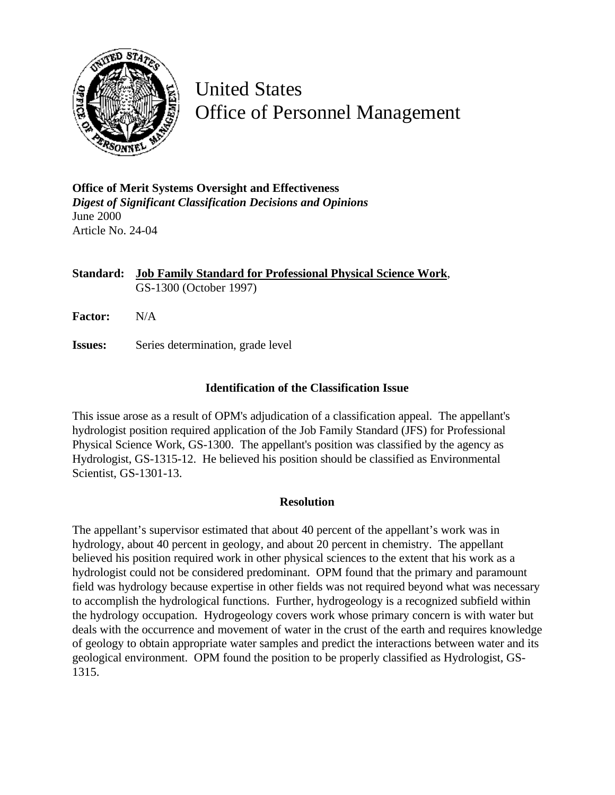

United States Office of Personnel Management

**Office of Merit Systems Oversight and Effectiveness** *Digest of Significant Classification Decisions and Opinions* June 2000 Article No. 24-04

**Standard: Job Family Standard for Professional Physical Science Work**, GS-1300 (October 1997)

**Factor:** N/A

**Issues:** Series determination, grade level

## **Identification of the Classification Issue**

This issue arose as a result of OPM's adjudication of a classification appeal. The appellant's hydrologist position required application of the Job Family Standard (JFS) for Professional Physical Science Work, GS-1300. The appellant's position was classified by the agency as Hydrologist, GS-1315-12. He believed his position should be classified as Environmental Scientist, GS-1301-13.

## **Resolution**

The appellant's supervisor estimated that about 40 percent of the appellant's work was in hydrology, about 40 percent in geology, and about 20 percent in chemistry. The appellant believed his position required work in other physical sciences to the extent that his work as a hydrologist could not be considered predominant. OPM found that the primary and paramount field was hydrology because expertise in other fields was not required beyond what was necessary to accomplish the hydrological functions. Further, hydrogeology is a recognized subfield within the hydrology occupation. Hydrogeology covers work whose primary concern is with water but deals with the occurrence and movement of water in the crust of the earth and requires knowledge of geology to obtain appropriate water samples and predict the interactions between water and its geological environment. OPM found the position to be properly classified as Hydrologist, GS-1315.